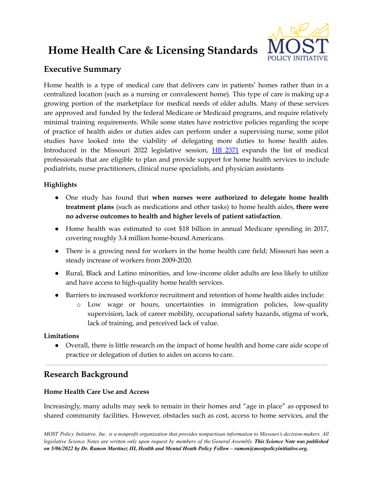# **Home Health Care & Licensing Standards**



# **Executive Summary**

Home health is a type of medical care that delivers care in patients' homes rather than in a centralized location (such as a nursing or convalescent home). This type of care is making up a growing portion of the marketplace for medical needs of older adults. Many of these services are approved and funded by the federal Medicare or Medicaid programs, and require relatively minimal training requirements. While some states have restrictive policies regarding the scope of practice of health aides or duties aides can perform under a supervising nurse, some pilot studies have looked into the viability of delegating more duties to home health aides. Introduced in the Missouri 2022 legislative session, HB [2371](https://house.mo.gov/Bill.aspx?bill=HB2371&year=2022&code=R) expands the list of medical professionals that are eligible to plan and provide support for home health services to include podiatrists, nurse practitioners, clinical nurse specialists, and physician assistants

## **Highlights**

- One study has found that **when nurses were authorized to delegate home health treatment plans** (such as medications and other tasks) to home health aides, **there were no adverse outcomes to health and higher levels of patient satisfaction**.
- Home health was estimated to cost \$18 billion in annual Medicare spending in 2017, covering roughly 3.4 million home-bound Americans.
- There is a growing need for workers in the home health care field; Missouri has seen a steady increase of workers from 2009-2020.
- Rural, Black and Latino minorities, and low-income older adults are less likely to utilize and have access to high-quality home health services.
- Barriers to increased workforce recruitment and retention of home health aides include:
	- o Low wage or hours, uncertainties in immigration policies, low-quality supervision, lack of career mobility, occupational safety hazards, stigma of work, lack of training, and perceived lack of value.

### **Limitations**

● Overall, there is little research on the impact of home health and home care aide scope of practice or delegation of duties to aides on access to care.

# **Research Background**

### **Home Health Care Use and Access**

Increasingly, many adults may seek to remain in their homes and "age in place" as opposed to shared community facilities. However, obstacles such as cost, access to home services, and the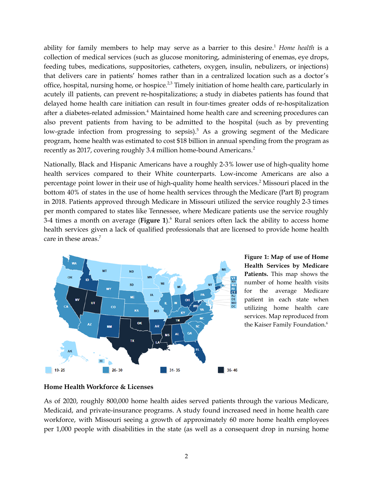ability for family members to help may serve as a barrier to this desire. <sup>1</sup> *Home health* is a collection of medical services (such as glucose monitoring, administering of enemas, eye drops, feeding tubes, medications, suppositories, catheters, oxygen, insulin, nebulizers, or injections) that delivers care in patients' homes rather than in a centralized location such as a doctor's office, hospital, nursing home, or hospice.<sup>2,3</sup> Timely initiation of home health care, particularly in acutely ill patients, can prevent re-hospitalizations; a study in diabetes patients has found that delayed home health care initiation can result in four-times greater odds of re-hospitalization after a diabetes-related admission.<sup>4</sup> Maintained home health care and screening procedures can also prevent patients from having to be admitted to the hospital (such as by preventing low-grade infection from progressing to sepsis).<sup>5</sup> As a growing segment of the Medicare program, home health was estimated to cost \$18 billion in annual spending from the program as recently as 2017, covering roughly 3.4 million home-bound Americans. 2

Nationally, Black and Hispanic Americans have a roughly 2-3% lower use of high-quality home health services compared to their White counterparts. Low-income Americans are also a percentage point lower in their use of high-quality home health services. <sup>2</sup> Missouri placed in the bottom 40% of states in the use of home health services through the Medicare (Part B) program in 2018. Patients approved through Medicare in Missouri utilized the service roughly 2-3 times per month compared to states like Tennessee, where Medicare patients use the service roughly 3-4 times a month on average (**Figure 1**). <sup>6</sup> Rural seniors often lack the ability to access home health services given a lack of qualified professionals that are licensed to provide home health care in these areas. 7



**Figure 1: Map of use of Home Health Services by Medicare Patients.** This map shows the number of home health visits for the average Medicare patient in each state when utilizing home health care services. Map reproduced from the Kaiser Family Foundation. 6

#### **Home Health Workforce & Licenses**

As of 2020, roughly 800,000 home health aides served patients through the various Medicare, Medicaid, and private-insurance programs. A study found increased need in home health care workforce, with Missouri seeing a growth of approximately 60 more home health employees per 1,000 people with disabilities in the state (as well as a consequent drop in nursing home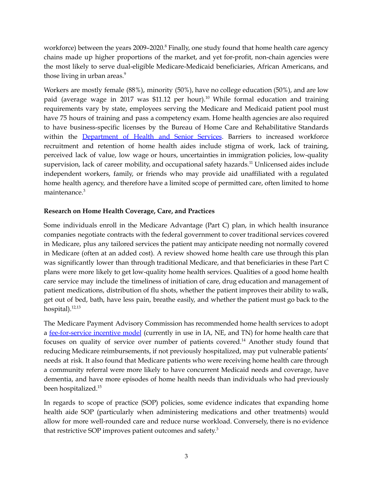workforce) between the years 2009–2020.<sup>8</sup> Finally, one study found that home health care agency chains made up higher proportions of the market, and yet for-profit, non-chain agencies were the most likely to serve dual-eligible Medicare-Medicaid beneficiaries, African Americans, and those living in urban areas. 9

Workers are mostly female (88%), minority (50%), have no college education (50%), and are low paid (average wage in 2017 was \$11.12 per hour). <sup>10</sup> While formal education and training requirements vary by state, employees serving the Medicare and Medicaid patient pool must have 75 hours of training and pass a competency exam. Home health agencies are also required to have business-specific licenses by the Bureau of Home Care and Rehabilitative Standards within the **[Department](https://health.mo.gov/safety/homecare/hhstatelicensure.php)** of Health and Senior Services</u>. Barriers to increased workforce recruitment and retention of home health aides include stigma of work, lack of training, perceived lack of value, low wage or hours, uncertainties in immigration policies, low-quality supervision, lack of career mobility, and occupational safety hazards.<sup>11</sup> Unlicensed aides include independent workers, family, or friends who may provide aid unaffiliated with a regulated home health agency, and therefore have a limited scope of permitted care, often limited to home maintenance.<sup>3</sup>

#### **Research on Home Health Coverage, Care, and Practices**

Some individuals enroll in the Medicare Advantage (Part C) plan, in which health insurance companies negotiate contracts with the federal government to cover traditional services covered in Medicare, plus any tailored services the patient may anticipate needing not normally covered in Medicare (often at an added cost). A review showed home health care use through this plan was significantly lower than through traditional Medicare, and that beneficiaries in these Part C plans were more likely to get low-quality home health services. Qualities of a good home health care service may include the timeliness of initiation of care, drug education and management of patient medications, distribution of flu shots, whether the patient improves their ability to walk, get out of bed, bath, have less pain, breathe easily, and whether the patient must go back to the hospital).<sup>12,13</sup>

The Medicare Payment Advisory Commission has recommended home health services to adopt a [fee-for-service](https://www.cms.gov/Medicare/Quality-Initiatives-Patient-Assessment-Instruments/Value-Based-Programs/Other-VBPs/HHVBP) incentive model (currently in use in IA, NE, and TN) for home health care that focuses on quality of service over number of patients covered.<sup>14</sup> Another study found that reducing Medicare reimbursements, if not previously hospitalized, may put vulnerable patients' needs at risk. It also found that Medicare patients who were receiving home health care through a community referral were more likely to have concurrent Medicaid needs and coverage, have dementia, and have more episodes of home health needs than individuals who had previously been hospitalized. 15

In regards to scope of practice (SOP) policies, some evidence indicates that expanding home health aide SOP (particularly when administering medications and other treatments) would allow for more well-rounded care and reduce nurse workload. Conversely, there is no evidence that restrictive SOP improves patient outcomes and safety.<sup>3</sup>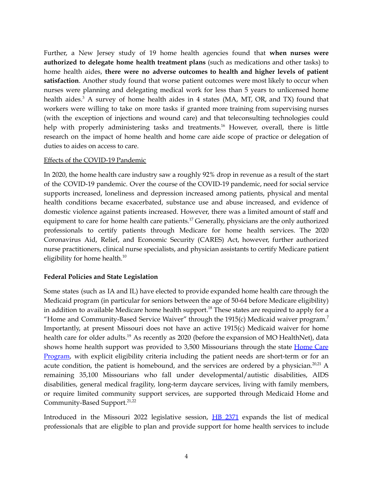Further, a New Jersey study of 19 home health agencies found that **when nurses were authorized to delegate home health treatment plans** (such as medications and other tasks) to home health aides, **there were no adverse outcomes to health and higher levels of patient satisfaction**. Another study found that worse patient outcomes were most likely to occur when nurses were planning and delegating medical work for less than 5 years to unlicensed home health aides.<sup>3</sup> A survey of home health aides in 4 states (MA, MT, OR, and TX) found that workers were willing to take on more tasks if granted more training from supervising nurses (with the exception of injections and wound care) and that teleconsulting technologies could help with properly administering tasks and treatments.<sup>16</sup> However, overall, there is little research on the impact of home health and home care aide scope of practice or delegation of duties to aides on access to care.

#### Effects of the COVID-19 Pandemic

In 2020, the home health care industry saw a roughly 92% drop in revenue as a result of the start of the COVID-19 pandemic. Over the course of the COVID-19 pandemic, need for social service supports increased, loneliness and depression increased among patients, physical and mental health conditions became exacerbated, substance use and abuse increased, and evidence of domestic violence against patients increased. However, there was a limited amount of staff and equipment to care for home health care patients.<sup>17</sup> Generally, physicians are the only authorized professionals to certify patients through Medicare for home health services. The 2020 Coronavirus Aid, Relief, and Economic Security (CARES) Act, however, further authorized nurse practitioners, clinical nurse specialists, and physician assistants to certify Medicare patient eligibility for home health. 10

#### **Federal Policies and State Legislation**

Some states (such as IA and IL) have elected to provide expanded home health care through the Medicaid program (in particular for seniors between the age of 50-64 before Medicare eligibility) in addition to available Medicare home health support. <sup>18</sup> These states are required to apply for a "Home and Community-Based Service Waiver" through the 1915(c) Medicaid waiver program.<sup>7</sup> Importantly, at present Missouri does not have an active 1915(c) Medicaid waiver for home health care for older adults.<sup>19</sup> As recently as 2020 (before the expansion of MO HealthNet), data shows home health support was provided to 3,500 Missourians through the state [Home](https://health.mo.gov/safety/homecare/) Care [Program](https://health.mo.gov/safety/homecare/), with explicit eligibility criteria including the patient needs are short-term or for an acute condition, the patient is homebound, and the services are ordered by a physician.<sup>20,21</sup> A remaining 35,100 Missourians who fall under developmental/autistic disabilities, AIDS disabilities, general medical fragility, long-term daycare services, living with family members, or require limited community support services, are supported through Medicaid Home and Community-Based Support. 21,22

Introduced in the Missouri 2022 legislative session, HB [2371](https://house.mo.gov/Bill.aspx?bill=HB2371&year=2022&code=R) expands the list of medical professionals that are eligible to plan and provide support for home health services to include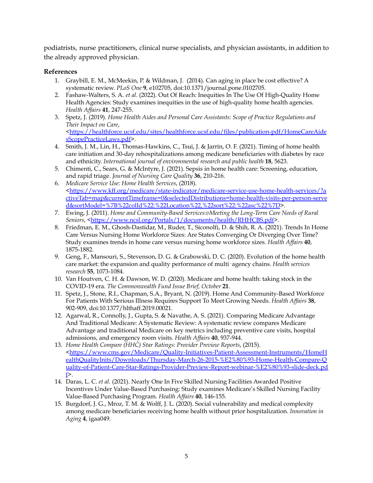podiatrists, nurse practitioners, clinical nurse specialists, and physician assistants, in addition to the already approved physician.

#### **References**

- 1. Graybill, E. M., McMeekin, P. & Wildman, J. (2014). Can aging in place be cost effective? A systematic review. *PLoS One* **9**, e102705, doi:10.1371/journal.pone.0102705.
- 2. Fashaw-Walters, S. A. *et al.* (2022). Out Of Reach: Inequities In The Use Of High-Quality Home Health Agencies: Study examines inequities in the use of high-quality home health agencies. *Health Af airs* **41**, 247-255.
- 3. Spetz, J. (2019). *Home Health Aides and Personal Care Assistants: Scope of Practice Regulations and Their Impact on Care*, [<https://healthforce.ucsf.edu/sites/healthforce.ucsf.edu/files/publication-pdf/HomeCareAide](https://healthforce.ucsf.edu/sites/healthforce.ucsf.edu/files/publication-pdf/HomeCareAidesScopePracticeLaws.pdf) [sScopePracticeLaws.pdf>](https://healthforce.ucsf.edu/sites/healthforce.ucsf.edu/files/publication-pdf/HomeCareAidesScopePracticeLaws.pdf).
- 4. Smith, J. M., Lin, H., Thomas-Hawkins, C., Tsui, J. & Jarrín, O. F. (2021). Timing of home health care initiation and 30-day rehospitalizations among medicare beneficiaries with diabetes by race and ethnicity. *International journal of environmental research and public health* **18**, 5623.
- 5. Chimenti, C., Sears, G. & McIntyre, J. (2021). Sepsis in home health care: Screening, education, and rapid triage. *Journal of Nursing Care Quality* **36**, 210-216.
- 6. *Medicare Service Use: Home Health Services*, (2018). [<https://www.kff.org/medicare/state-indicator/medicare-service-use-home-health-services/?a](https://www.kff.org/medicare/state-indicator/medicare-service-use-home-health-services/?activeTab=map¤tTimeframe=0&selectedDistributions=home-health-visits-per-person-served&sortModel=%7B%22colId%22:%22Location%22,%22sort%22:%22asc%22%7D) [ctiveTab=map&currentTimeframe=0&selectedDistributions=home-health-visits-per-person-serve](https://www.kff.org/medicare/state-indicator/medicare-service-use-home-health-services/?activeTab=map¤tTimeframe=0&selectedDistributions=home-health-visits-per-person-served&sortModel=%7B%22colId%22:%22Location%22,%22sort%22:%22asc%22%7D) [d&sortModel=%7B%22colId%22:%22Location%22,%22sort%22:%22asc%22%7D](https://www.kff.org/medicare/state-indicator/medicare-service-use-home-health-services/?activeTab=map¤tTimeframe=0&selectedDistributions=home-health-visits-per-person-served&sortModel=%7B%22colId%22:%22Location%22,%22sort%22:%22asc%22%7D)>.
- 7. Ewing, J. (2011). *Home and Community-Based Services:vMeeting the Long-Term Care Needs of Rural* Seniors, [<https://www.ncsl.org/Portals/1/documents/health/RHHCBS.pdf>](https://www.ncsl.org/Portals/1/documents/health/RHHCBS.pdf).
- 8. Friedman, E. M., Ghosh-Dastidar, M., Ruder, T., Siconolfi, D. & Shih, R. A. (2021). Trends In Home Care Versus Nursing Home Workforce Sizes: Are States Converging Or Diverging Over Time? Study examines trends in home care versus nursing home workforce sizes. *Health Af airs* **40**, 1875-1882.
- 9. Geng, F., Mansouri, S., Stevenson, D. G. & Grabowski, D. C. (2020). Evolution of the home health care market: the expansion and quality performance of multi‐agency chains. *Health services research* **55**, 1073-1084.
- 10. Van Houtven, C. H. & Dawson, W. D. (2020). Medicare and home health: taking stock in the COVID-19 era. *The Commonwealth Fund Issue Brief, October* **21**.
- 11. Spetz, J., Stone, R.I., Chapman, S.A., Bryant, N. (2019). Home And Community-Based Workforce For Patients With Serious Illness Requires Support To Meet Growing Needs. *Health Af airs* **38**, 902-909, doi:10.1377/hlthaff.2019.00021.
- 12. Agarwal, R., Connolly, J., Gupta, S. & Navathe, A. S. (2021). Comparing Medicare Advantage And Traditional Medicare: A Systematic Review: A systematic review compares Medicare Advantage and traditional Medicare on key metrics including preventive care visits, hospital admissions, and emergency room visits. *Health Af airs* **40**, 937-944.
- 13. *Home Health Compare (HHC) Star Ratings: Provider Preview Reports*, (2015). [<https://www.cms.gov/Medicare/Quality-Initiatives-Patient-Assessment-Instruments/HomeH](https://www.cms.gov/Medicare/Quality-Initiatives-Patient-Assessment-Instruments/HomeHealthQualityInits/Downloads/Thursday-March-26-2015-%E2%80%93-Home-Health-Compare-Quality-of-Patient-Care-Star-Ratings-Provider-Preview-Report-webinar-%E2%80%93-slide-deck.pdf) [ealthQualityInits/Downloads/Thursday-March-26-2015-%E2%80%93-Home-Health-Compare-Q](https://www.cms.gov/Medicare/Quality-Initiatives-Patient-Assessment-Instruments/HomeHealthQualityInits/Downloads/Thursday-March-26-2015-%E2%80%93-Home-Health-Compare-Quality-of-Patient-Care-Star-Ratings-Provider-Preview-Report-webinar-%E2%80%93-slide-deck.pdf) [uality-of-Patient-Care-Star-Ratings-Provider-Preview-Report-webinar-%E2%80%93-slide-deck.pd](https://www.cms.gov/Medicare/Quality-Initiatives-Patient-Assessment-Instruments/HomeHealthQualityInits/Downloads/Thursday-March-26-2015-%E2%80%93-Home-Health-Compare-Quality-of-Patient-Care-Star-Ratings-Provider-Preview-Report-webinar-%E2%80%93-slide-deck.pdf)  $f$
- 14. Daras, L. C. *et al.* (2021). Nearly One In Five Skilled Nursing Facilities Awarded Positive Incentives Under Value-Based Purchasing: Study examines Medicare's Skilled Nursing Facility Value-Based Purchasing Program. *Health Af airs* **40**, 146-155.
- 15. Burgdorf, J. G., Mroz, T. M. & Wolff, J. L. (2020). Social vulnerability and medical complexity among medicare beneficiaries receiving home health without prior hospitalization. *Innovation in Aging* **4**, igaa049.